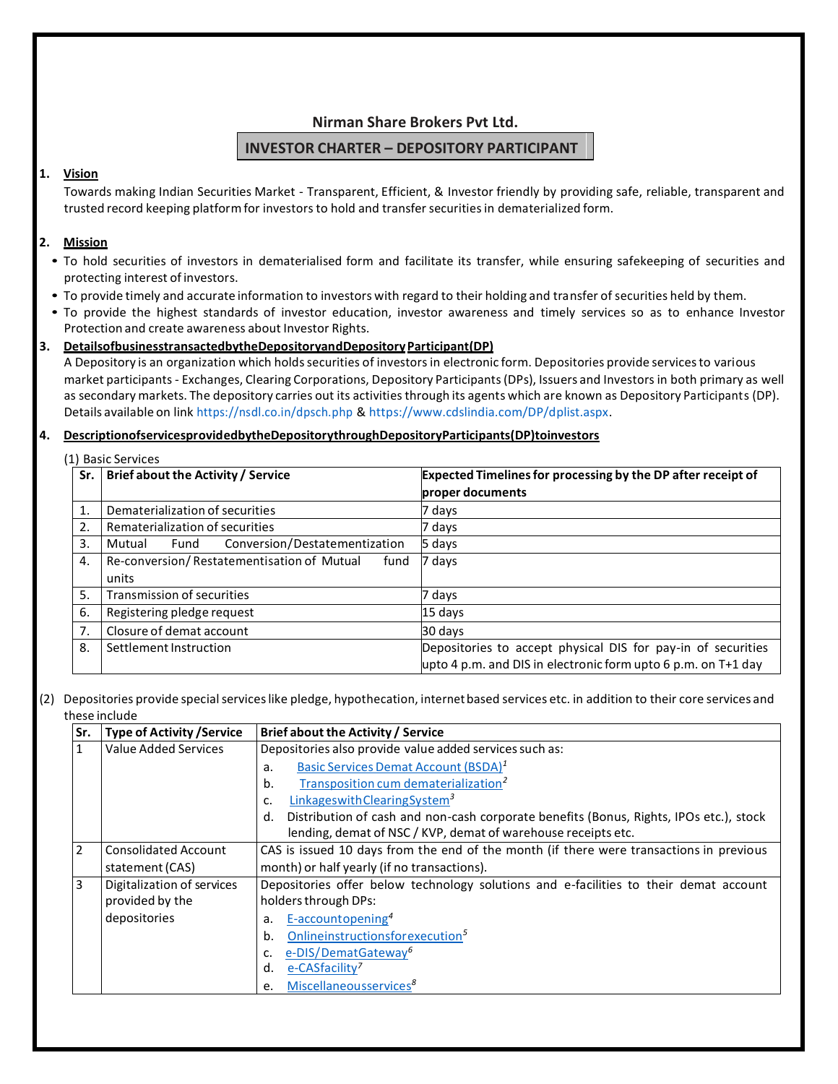## **Nirman Share Brokers Pvt Ltd.**

## **INVESTOR CHARTER – DEPOSITORY PARTICIPANT**

#### **1. Vision**

Towards making Indian Securities Market - Transparent, Efficient, & Investor friendly by providing safe, reliable, transparent and trusted record keeping platform for investors to hold and transfer securities in dematerialized form.

#### **2. Mission**

- To hold securities of investors in dematerialised form and facilitate its transfer, while ensuring safekeeping of securities and protecting interest of investors.
- To provide timely and accurate information to investors with regard to their holding and transfer of securities held by them.
- To provide the highest standards of investor education, investor awareness and timely services so as to enhance Investor Protection and create awareness about Investor Rights.

#### 3. Details of business transacted by the Depository and Depository Participant (DP)

A Depository is an organization which holds securities of investors in electronic form. Depositories provide services to various market participants - Exchanges, Clearing Corporations, Depository Participants(DPs), Issuers and Investors in both primary as well as secondary markets. The depository carries out its activities through its agents which are known as Depository Participants (DP). Details available on link https://nsdl.co.in/dpsch.php & https://www.cdslindia.com/DP/dplist.aspx.

#### **4. Description of services provided by the Depository through Depository Participants (DP) to investors**

|     | (1) Basic Services                                          |                                                                                                                                 |
|-----|-------------------------------------------------------------|---------------------------------------------------------------------------------------------------------------------------------|
| Sr. | Brief about the Activity / Service                          | <b>Expected Timelines for processing by the DP after receipt of</b><br>proper documents                                         |
| 1.  | Dematerialization of securities                             | 7 days                                                                                                                          |
| 2.  | Rematerialization of securities                             | 7 days                                                                                                                          |
| 3.  | Conversion/Destatementization<br>Mutual<br>Fund             | 5 days                                                                                                                          |
| 4.  | Re-conversion/Restatementisation of Mutual<br>fund<br>units | 7 days                                                                                                                          |
| 5.  | Transmission of securities                                  | 7 days                                                                                                                          |
| 6.  | Registering pledge request                                  | 15 days                                                                                                                         |
| 7.  | Closure of demat account                                    | 30 days                                                                                                                         |
| 8.  | Settlement Instruction                                      | Depositories to accept physical DIS for pay-in of securities<br>upto 4 p.m. and DIS in electronic form upto 6 p.m. on $T+1$ day |

#### (2) Depositories provide specialserviceslike pledge, hypothecation, internetbased services etc. in addition to their core services and these include

| Sr.            | <b>Type of Activity / Service</b> | Brief about the Activity / Service                                                           |  |  |
|----------------|-----------------------------------|----------------------------------------------------------------------------------------------|--|--|
|                | Value Added Services              | Depositories also provide value added services such as:                                      |  |  |
|                |                                   | Basic Services Demat Account (BSDA) <sup>1</sup><br>a.                                       |  |  |
|                |                                   | Transposition cum dematerialization <sup>2</sup><br>b.                                       |  |  |
|                |                                   | Linkages with Clearing System <sup>3</sup>                                                   |  |  |
|                |                                   | Distribution of cash and non-cash corporate benefits (Bonus, Rights, IPOs etc.), stock<br>d. |  |  |
|                |                                   | lending, demat of NSC / KVP, demat of warehouse receipts etc.                                |  |  |
| $\overline{2}$ | <b>Consolidated Account</b>       | CAS is issued 10 days from the end of the month (if there were transactions in previous      |  |  |
|                | statement (CAS)                   | month) or half yearly (if no transactions).                                                  |  |  |
| 3              | Digitalization of services        | Depositories offer below technology solutions and e-facilities to their demat account        |  |  |
|                | provided by the                   | holders through DPs:                                                                         |  |  |
|                | depositories                      | E-accountopening <sup>4</sup><br>a.                                                          |  |  |
|                |                                   | Onlineinstructionsfor execution <sup>5</sup><br>b.                                           |  |  |
|                |                                   | e-DIS/DematGateway <sup>6</sup>                                                              |  |  |
|                |                                   | e-CASfacility <sup>7</sup><br>d.                                                             |  |  |
|                |                                   | Miscellaneousservices <sup>8</sup><br>e.                                                     |  |  |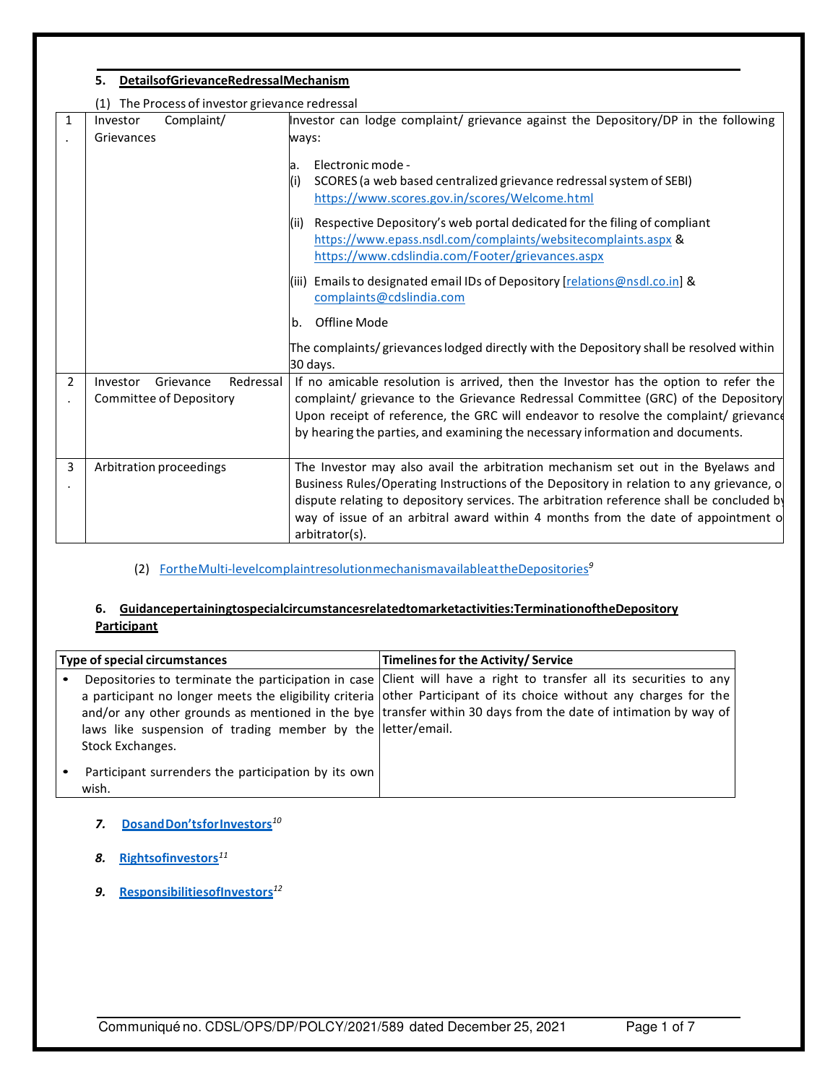|   | DetailsofGrievanceRedressalMechanism<br>5.         |                                                                                                                                                                                                                                                                                            |  |  |  |
|---|----------------------------------------------------|--------------------------------------------------------------------------------------------------------------------------------------------------------------------------------------------------------------------------------------------------------------------------------------------|--|--|--|
|   | The Process of investor grievance redressal<br>(1) |                                                                                                                                                                                                                                                                                            |  |  |  |
| 1 | Complaint/<br>Investor<br>Grievances               | Investor can lodge complaint/ grievance against the Depository/DP in the following<br>ways:                                                                                                                                                                                                |  |  |  |
|   |                                                    | Electronic mode -<br>a.<br>SCORES (a web based centralized grievance redressal system of SEBI)<br>(i)<br>https://www.scores.gov.in/scores/Welcome.html                                                                                                                                     |  |  |  |
|   |                                                    | Respective Depository's web portal dedicated for the filing of compliant<br>(ii)<br>https://www.epass.nsdl.com/complaints/websitecomplaints.aspx &<br>https://www.cdslindia.com/Footer/grievances.aspx                                                                                     |  |  |  |
|   |                                                    | (iii) Emails to designated email IDs of Depository [relations@nsdl.co.in] &<br>complaints@cdslindia.com                                                                                                                                                                                    |  |  |  |
|   |                                                    | Offline Mode<br>b.                                                                                                                                                                                                                                                                         |  |  |  |
|   |                                                    | The complaints/grievances lodged directly with the Depository shall be resolved within<br>30 days.                                                                                                                                                                                         |  |  |  |
| 2 | Redressal<br>Investor<br>Grievance                 | If no amicable resolution is arrived, then the Investor has the option to refer the                                                                                                                                                                                                        |  |  |  |
|   | <b>Committee of Depository</b>                     | complaint/ grievance to the Grievance Redressal Committee (GRC) of the Depository                                                                                                                                                                                                          |  |  |  |
|   |                                                    | Upon receipt of reference, the GRC will endeavor to resolve the complaint/ grievance<br>by hearing the parties, and examining the necessary information and documents.                                                                                                                     |  |  |  |
| 3 | Arbitration proceedings                            | The Investor may also avail the arbitration mechanism set out in the Byelaws and                                                                                                                                                                                                           |  |  |  |
|   |                                                    | Business Rules/Operating Instructions of the Depository in relation to any grievance, o<br>dispute relating to depository services. The arbitration reference shall be concluded by<br>way of issue of an arbitral award within 4 months from the date of appointment of<br>arbitrator(s). |  |  |  |

(2) For the Multi-level complaint resolution mechanism available at the Depositories*<sup>9</sup>*

## **6. Guidance pertaining to special circumstances related to market activities: Termination of the Depository Participant**

| Type of special circumstances |                                                                                 | Timelines for the Activity/Service                                                                                                                                                                                                                                                                                                                         |  |  |
|-------------------------------|---------------------------------------------------------------------------------|------------------------------------------------------------------------------------------------------------------------------------------------------------------------------------------------------------------------------------------------------------------------------------------------------------------------------------------------------------|--|--|
|                               | laws like suspension of trading member by the letter/email.<br>Stock Exchanges. | Depositories to terminate the participation in case Client will have a right to transfer all its securities to any<br>a participant no longer meets the eligibility criteria other Participant of its choice without any charges for the<br>and/or any other grounds as mentioned in the bye transfer within 30 days from the date of intimation by way of |  |  |
|                               | Participant surrenders the participation by its own<br>wish.                    |                                                                                                                                                                                                                                                                                                                                                            |  |  |

- *7.* **Do s an d Do n 'ts for Investors***<sup>10</sup>*
- *8.* **Rights of investors***<sup>11</sup>*
- *9.* **Responsibilities of Investors***<sup>12</sup>*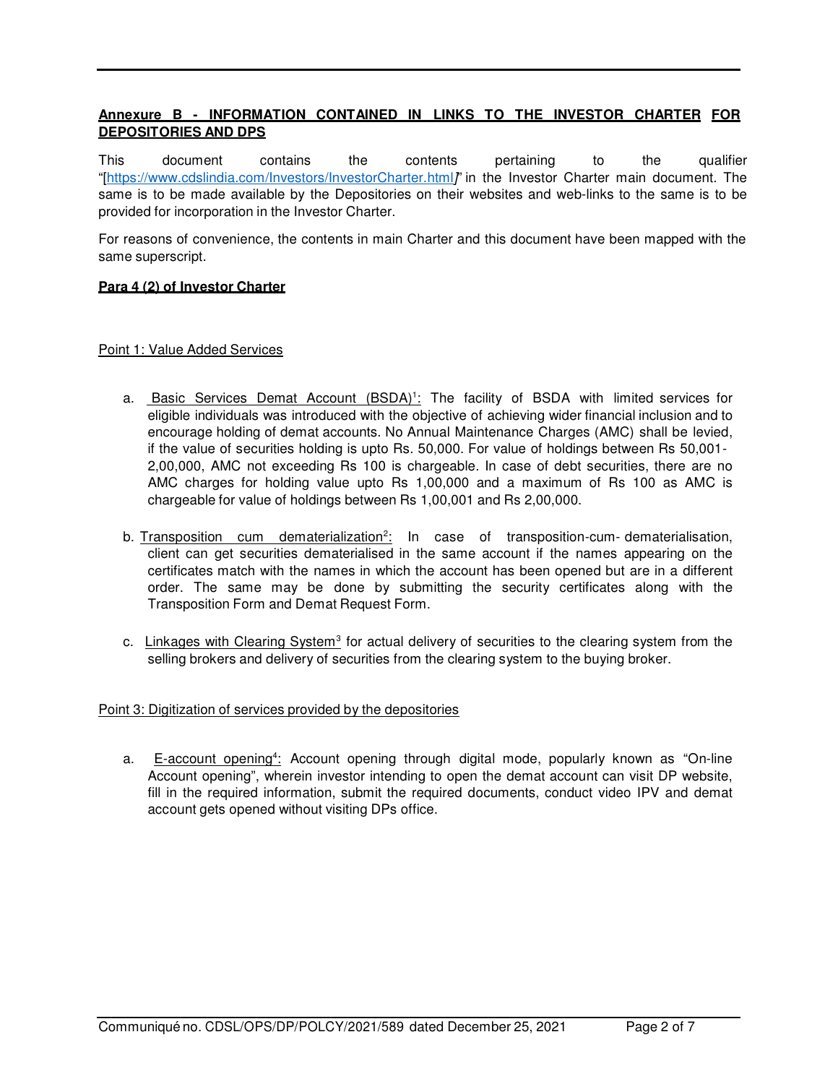## **Annexure B - INFORMATION CONTAINED IN LINKS TO THE INVESTOR CHARTER FOR DEPOSITORIES AND DPS**

This document contains the contents pertaining to the qualifier "[https://www.cdslindia.com/Investors/InvestorCharter.html]" in the Investor Charter main document. The same is to be made available by the Depositories on their websites and web-links to the same is to be provided for incorporation in the Investor Charter.

For reasons of convenience, the contents in main Charter and this document have been mapped with the same superscript.

#### **Para 4 (2) of Investor Charter**

#### Point 1: Value Added Services

- a. Basic Services Demat Account (BSDA)<sup>1</sup>: The facility of BSDA with limited services for eligible individuals was introduced with the objective of achieving wider financial inclusion and to encourage holding of demat accounts. No Annual Maintenance Charges (AMC) shall be levied, if the value of securities holding is upto Rs. 50,000. For value of holdings between Rs 50,001- 2,00,000, AMC not exceeding Rs 100 is chargeable. In case of debt securities, there are no AMC charges for holding value upto Rs 1,00,000 and a maximum of Rs 100 as AMC is chargeable for value of holdings between Rs 1,00,001 and Rs 2,00,000.
- b. Transposition cum dematerialization<sup>2</sup>: In case of transposition-cum-dematerialisation, client can get securities dematerialised in the same account if the names appearing on the certificates match with the names in which the account has been opened but are in a different order. The same may be done by submitting the security certificates along with the Transposition Form and Demat Request Form.
- c. Linkages with Clearing System<sup>3</sup> for actual delivery of securities to the clearing system from the selling brokers and delivery of securities from the clearing system to the buying broker.

#### Point 3: Digitization of services provided by the depositories

a. E-account opening<sup>4</sup>: Account opening through digital mode, popularly known as "On-line Account opening", wherein investor intending to open the demat account can visit DP website, fill in the required information, submit the required documents, conduct video IPV and demat account gets opened without visiting DPs office.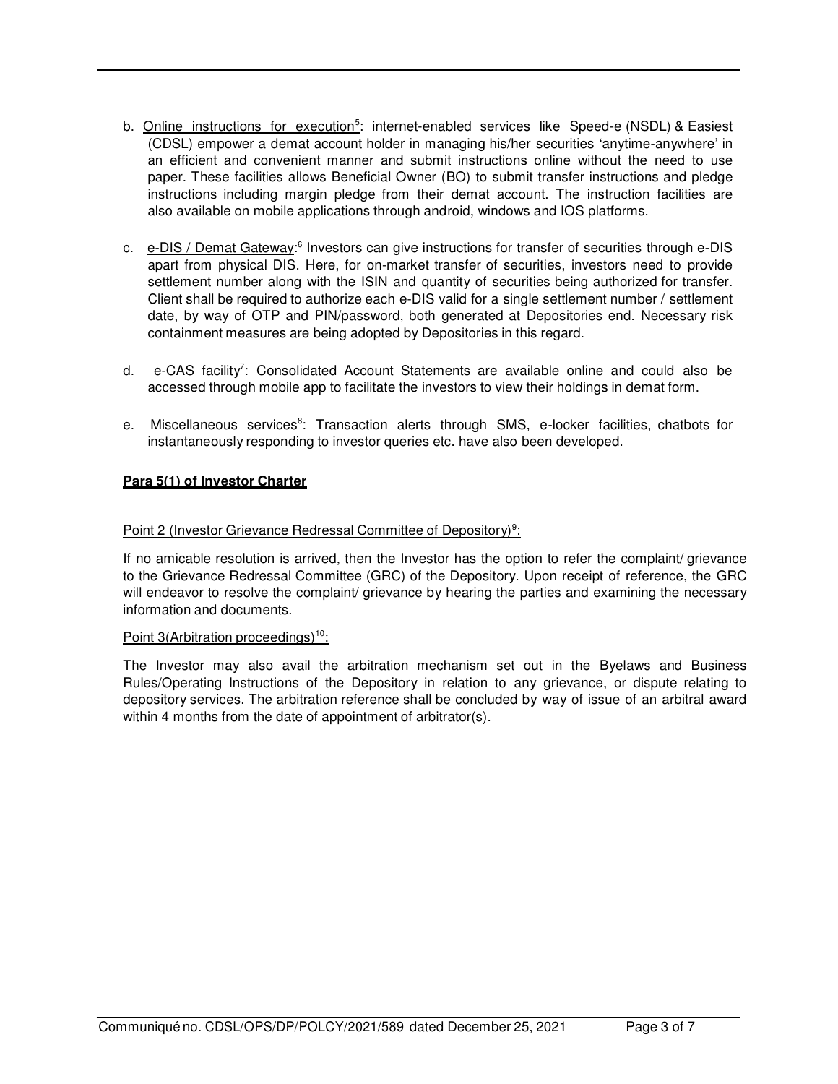- b. Online instructions for execution<sup>5</sup>: internet-enabled services like Speed-e (NSDL) & Easiest (CDSL) empower a demat account holder in managing his/her securities 'anytime-anywhere' in an efficient and convenient manner and submit instructions online without the need to use paper. These facilities allows Beneficial Owner (BO) to submit transfer instructions and pledge instructions including margin pledge from their demat account. The instruction facilities are also available on mobile applications through android, windows and IOS platforms.
- c. e-DIS / Demat Gateway:<sup>6</sup> Investors can give instructions for transfer of securities through e-DIS apart from physical DIS. Here, for on-market transfer of securities, investors need to provide settlement number along with the ISIN and quantity of securities being authorized for transfer. Client shall be required to authorize each e-DIS valid for a single settlement number / settlement date, by way of OTP and PIN/password, both generated at Depositories end. Necessary risk containment measures are being adopted by Depositories in this regard.
- d. e-CAS facility<sup>7</sup>: Consolidated Account Statements are available online and could also be accessed through mobile app to facilitate the investors to view their holdings in demat form.
- e. Miscellaneous services<sup>8</sup>: Transaction alerts through SMS, e-locker facilities, chatbots for instantaneously responding to investor queries etc. have also been developed.

## **Para 5(1) of Investor Charter**

## Point 2 (Investor Grievance Redressal Committee of Depository)<sup>9</sup>:

If no amicable resolution is arrived, then the Investor has the option to refer the complaint/ grievance to the Grievance Redressal Committee (GRC) of the Depository. Upon receipt of reference, the GRC will endeavor to resolve the complaint/ grievance by hearing the parties and examining the necessary information and documents.

#### Point 3(Arbitration proceedings)<sup>10</sup>:

The Investor may also avail the arbitration mechanism set out in the Byelaws and Business Rules/Operating Instructions of the Depository in relation to any grievance, or dispute relating to depository services. The arbitration reference shall be concluded by way of issue of an arbitral award within 4 months from the date of appointment of arbitrator(s).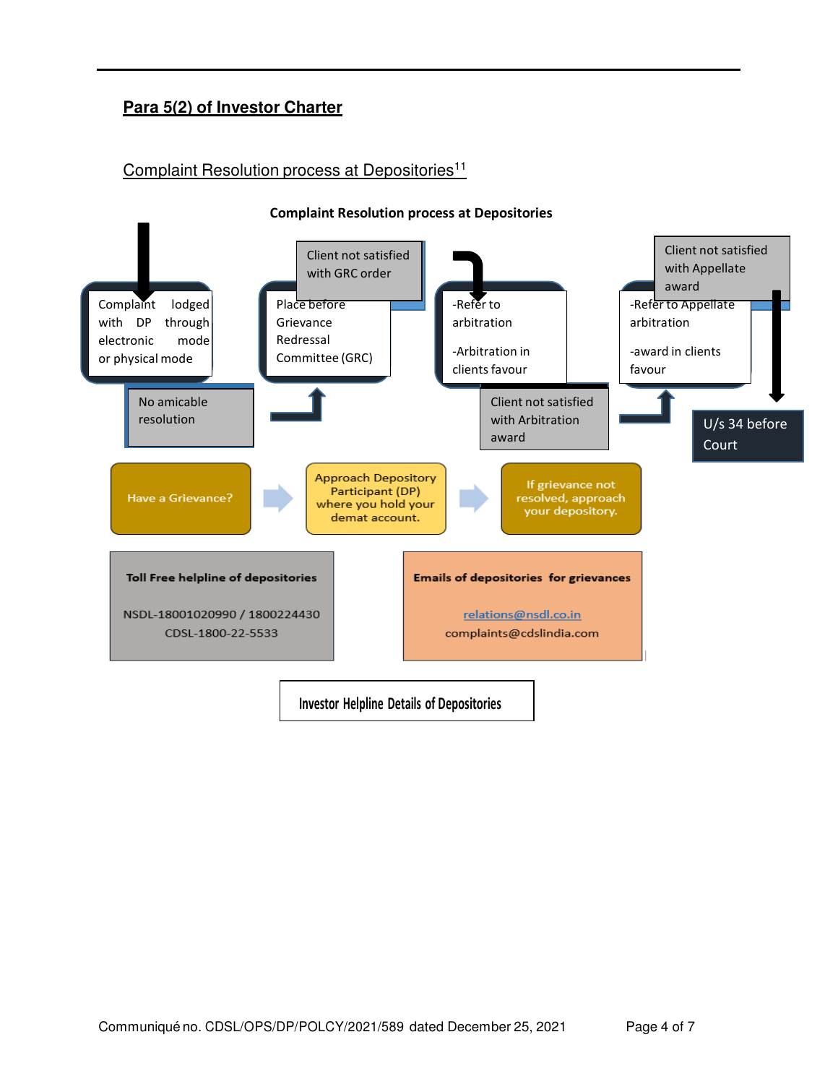# **Para 5(2) of Investor Charter**

## Complaint Resolution process at Depositories<sup>11</sup>



#### **Complaint Resolution process at Depositories**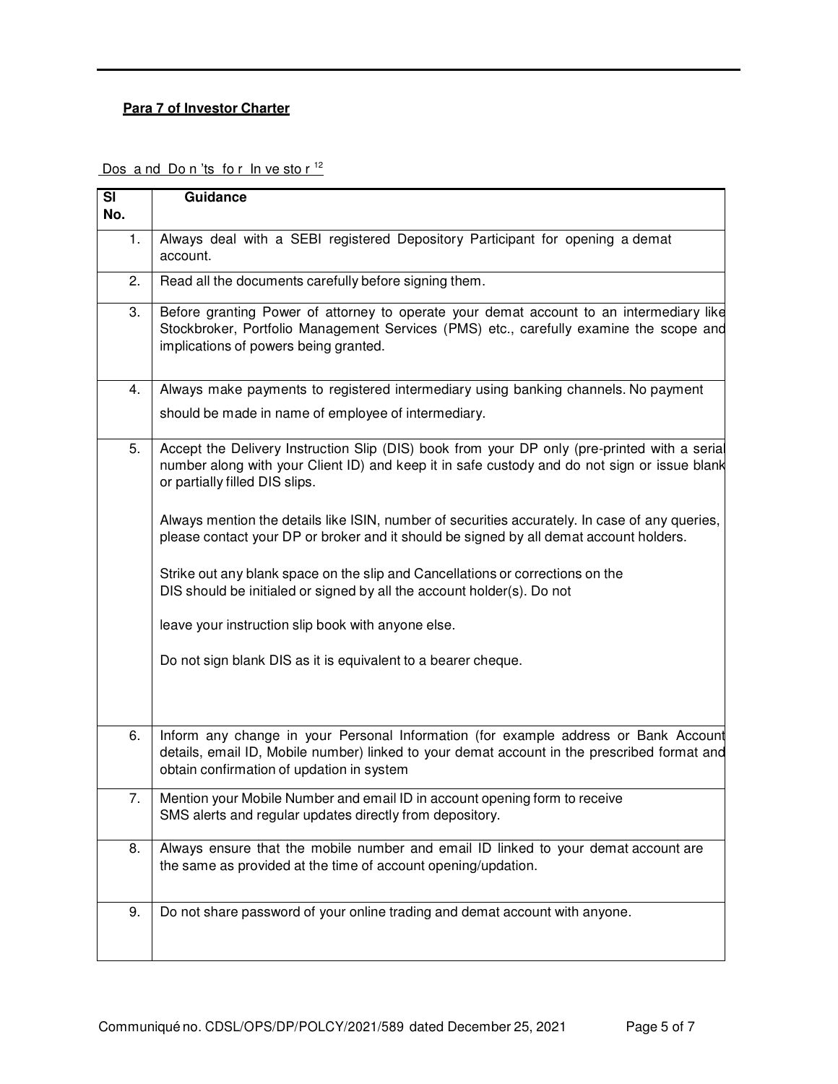## **Para 7 of Investor Charter**

Dos and Don'ts for  $\ln$  ve stor<sup>12</sup>

| $\overline{\mathbf{S}}$<br>No. | Guidance                                                                                                                                                                                                                        |  |  |  |
|--------------------------------|---------------------------------------------------------------------------------------------------------------------------------------------------------------------------------------------------------------------------------|--|--|--|
| 1.                             | Always deal with a SEBI registered Depository Participant for opening a demat<br>account.                                                                                                                                       |  |  |  |
| 2.                             | Read all the documents carefully before signing them.                                                                                                                                                                           |  |  |  |
| 3.                             | Before granting Power of attorney to operate your demat account to an intermediary like<br>Stockbroker, Portfolio Management Services (PMS) etc., carefully examine the scope and<br>implications of powers being granted.      |  |  |  |
| 4.                             | Always make payments to registered intermediary using banking channels. No payment                                                                                                                                              |  |  |  |
|                                | should be made in name of employee of intermediary.                                                                                                                                                                             |  |  |  |
| 5.                             | Accept the Delivery Instruction Slip (DIS) book from your DP only (pre-printed with a serial<br>number along with your Client ID) and keep it in safe custody and do not sign or issue blank<br>or partially filled DIS slips.  |  |  |  |
|                                | Always mention the details like ISIN, number of securities accurately. In case of any queries,<br>please contact your DP or broker and it should be signed by all demat account holders.                                        |  |  |  |
|                                | Strike out any blank space on the slip and Cancellations or corrections on the<br>DIS should be initialed or signed by all the account holder(s). Do not                                                                        |  |  |  |
|                                | leave your instruction slip book with anyone else.                                                                                                                                                                              |  |  |  |
|                                | Do not sign blank DIS as it is equivalent to a bearer cheque.                                                                                                                                                                   |  |  |  |
| 6.                             | Inform any change in your Personal Information (for example address or Bank Account<br>details, email ID, Mobile number) linked to your demat account in the prescribed format and<br>obtain confirmation of updation in system |  |  |  |
| 7.                             | Mention your Mobile Number and email ID in account opening form to receive<br>SMS alerts and regular updates directly from depository.                                                                                          |  |  |  |
| 8.                             | Always ensure that the mobile number and email ID linked to your demat account are<br>the same as provided at the time of account opening/updation.                                                                             |  |  |  |
| 9.                             | Do not share password of your online trading and demat account with anyone.                                                                                                                                                     |  |  |  |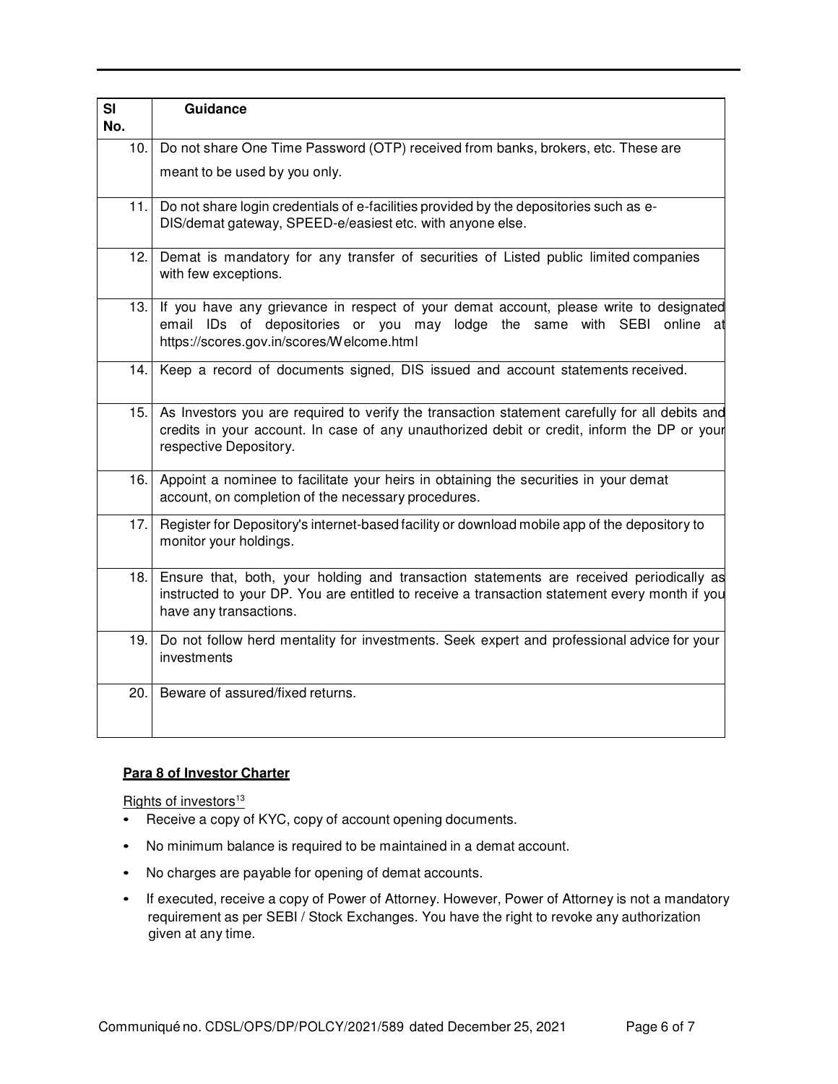| SI<br>No. | Guidance                                                                                                                                                                                                                |
|-----------|-------------------------------------------------------------------------------------------------------------------------------------------------------------------------------------------------------------------------|
|           |                                                                                                                                                                                                                         |
| 10.       | Do not share One Time Password (OTP) received from banks, brokers, etc. These are                                                                                                                                       |
|           | meant to be used by you only.                                                                                                                                                                                           |
|           | 11. Do not share login credentials of e-facilities provided by the depositories such as e-<br>DIS/demat gateway, SPEED-e/easiest etc. with anyone else.                                                                 |
| 12.1      | Demat is mandatory for any transfer of securities of Listed public limited companies<br>with few exceptions.                                                                                                            |
|           | 13. If you have any grievance in respect of your demat account, please write to designated<br>email IDs of depositories or you may lodge the same with SEBI online at<br>https://scores.gov.in/scores/Welcome.html      |
|           | 14. Keep a record of documents signed, DIS issued and account statements received.                                                                                                                                      |
| 15.       | As Investors you are required to verify the transaction statement carefully for all debits and<br>credits in your account. In case of any unauthorized debit or credit, inform the DP or your<br>respective Depository. |
| 16.       | Appoint a nominee to facilitate your heirs in obtaining the securities in your demat<br>account, on completion of the necessary procedures.                                                                             |
| 17.1      | Register for Depository's internet-based facility or download mobile app of the depository to<br>monitor your holdings.                                                                                                 |
| 18.1      | Ensure that, both, your holding and transaction statements are received periodically as<br>instructed to your DP. You are entitled to receive a transaction statement every month if you<br>have any transactions.      |
| 19.       | Do not follow herd mentality for investments. Seek expert and professional advice for your<br>investments                                                                                                               |
| 20.       | Beware of assured/fixed returns.                                                                                                                                                                                        |

#### **Para 8 of Investor Charter**

Rights of investors<sup>13</sup>

- Receive a copy of KYC, copy of account opening documents.
- No minimum balance is required to be maintained in a demat account.
- No charges are payable for opening of demat accounts.
- If executed, receive a copy of Power of Attorney. However, Power of Attorney is not a mandatory requirement as per SEBI / Stock Exchanges. You have the right to revoke any authorization given at any time.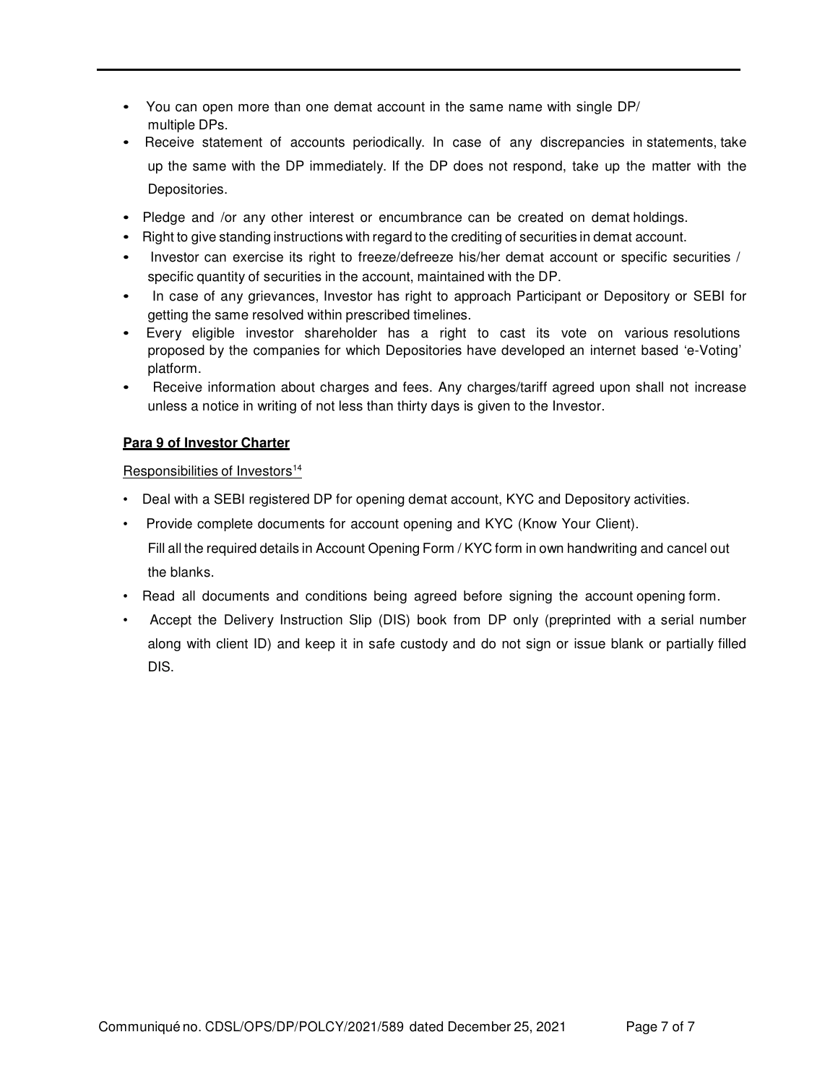- You can open more than one demat account in the same name with single DP/ multiple DPs.
- Receive statement of accounts periodically. In case of any discrepancies in statements, take up the same with the DP immediately. If the DP does not respond, take up the matter with the Depositories.
- Pledge and /or any other interest or encumbrance can be created on demat holdings.
- Right to give standing instructions with regard to the crediting of securities in demat account.
- Investor can exercise its right to freeze/defreeze his/her demat account or specific securities / specific quantity of securities in the account, maintained with the DP.
- In case of any grievances, Investor has right to approach Participant or Depository or SEBI for getting the same resolved within prescribed timelines.
- Every eligible investor shareholder has a right to cast its vote on various resolutions proposed by the companies for which Depositories have developed an internet based 'e-Voting' platform.
- Receive information about charges and fees. Any charges/tariff agreed upon shall not increase unless a notice in writing of not less than thirty days is given to the Investor.

## **Para 9 of Investor Charter**

#### Responsibilities of Investors<sup>14</sup>

- Deal with a SEBI registered DP for opening demat account, KYC and Depository activities.
- Provide complete documents for account opening and KYC (Know Your Client).

Fill all the required details in Account Opening Form / KYC form in own handwriting and cancel out the blanks.

- Read all documents and conditions being agreed before signing the account opening form.
- Accept the Delivery Instruction Slip (DIS) book from DP only (preprinted with a serial number along with client ID) and keep it in safe custody and do not sign or issue blank or partially filled DIS.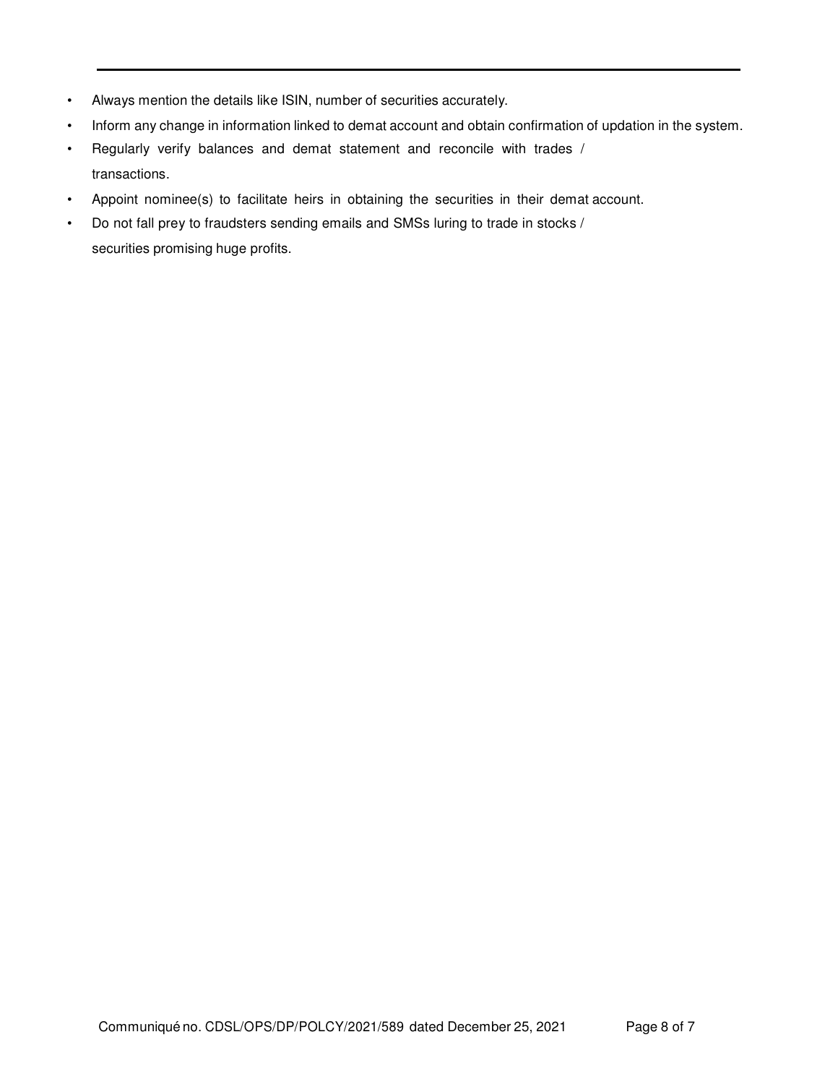- Always mention the details like ISIN, number of securities accurately.
- Inform any change in information linked to demat account and obtain confirmation of updation in the system.
- Regularly verify balances and demat statement and reconcile with trades / transactions.
- Appoint nominee(s) to facilitate heirs in obtaining the securities in their demat account.
- Do not fall prey to fraudsters sending emails and SMSs luring to trade in stocks / securities promising huge profits.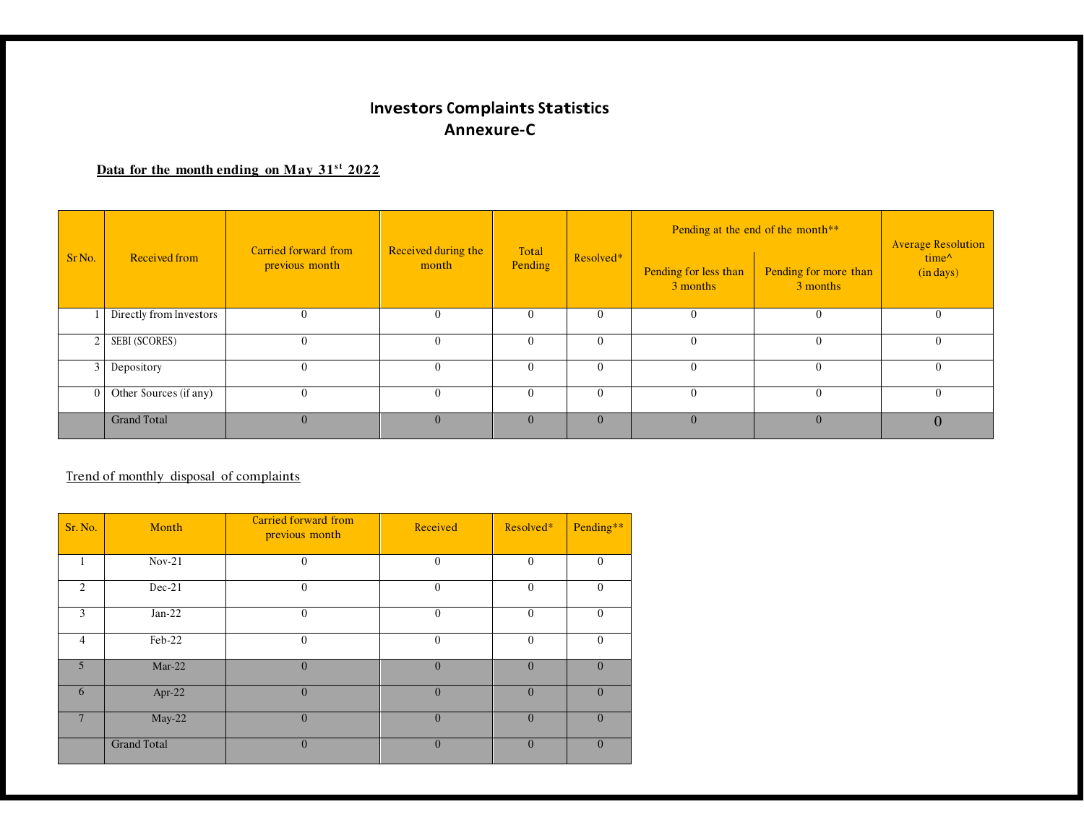# **Investors Complaints StatisticsAnnexure-C**

## **Data for the month ending on May 31<sup>s</sup> <sup>t</sup> 2022**

| Sr <sub>No.</sub> | Received from           | Carried forward from<br>previous month | Received during the<br>month | Total<br>Pending | Resolved*      | Pending at the end of the month** |                                   | <b>Average Resolution</b>    |
|-------------------|-------------------------|----------------------------------------|------------------------------|------------------|----------------|-----------------------------------|-----------------------------------|------------------------------|
|                   |                         |                                        |                              |                  |                | Pending for less than<br>3 months | Pending for more than<br>3 months | $time^{\wedge}$<br>(in days) |
|                   | Directly from Investors | $\theta$                               |                              | $\Omega$         | 0              | 0                                 |                                   | $\Omega$                     |
| 2 <sub>1</sub>    | SEBI (SCORES)           | $\Omega$                               | $\overline{0}$               | $\Omega$         | $\mathbf{0}$   | $\Omega$                          | 0                                 | $\mathbf{0}$                 |
| $\frac{3}{ }$     | Depository              | $\Omega$                               | $\overline{0}$               | $\theta$         | $\overline{0}$ | $\Omega$                          | $\left($                          | $\theta$                     |
| $\overline{0}$    | Other Sources (if any)  | $\Omega$                               | $\mathbf{0}$                 | $\Omega$         | $\overline{0}$ | $\Omega$                          | 0                                 | $\overline{0}$               |
|                   | <b>Grand Total</b>      | $\Omega$                               |                              | $\Omega$         | $\overline{0}$ |                                   |                                   | $\mathbf{U}$                 |

## Trend of monthly disposal of complaints

| Sr. No.        | Month              | <b>Carried forward from</b><br>previous month | Received       | Resolved*    | Pending**      |
|----------------|--------------------|-----------------------------------------------|----------------|--------------|----------------|
| 1              | $Nov-21$           | $\mathbf{0}$                                  | $\overline{0}$ | $\theta$     | $\Omega$       |
| $\overline{c}$ | $Dec-21$           | $\mathbf{0}$                                  | $\overline{0}$ | $\mathbf{0}$ | $\mathbf{0}$   |
| 3              | $Jan-22$           | $\theta$                                      | $\mathbf{0}$   | $\mathbf{0}$ | $\Omega$       |
| 4              | Feb-22             | $\mathbf{0}$                                  | $\theta$       | $\mathbf{0}$ | $\mathbf{0}$   |
| $\overline{5}$ | $Mar-22$           | $\overline{0}$                                | $\mathbf{0}$   | $\mathbf{0}$ | $\overline{0}$ |
| 6              | Apr-22             | $\overline{0}$                                | $\overline{0}$ | $\mathbf{0}$ | $\overline{0}$ |
|                | $May-22$           | $\overline{0}$                                | $\overline{0}$ | $\mathbf{0}$ | $\Omega$       |
|                | <b>Grand Total</b> | $\overline{0}$                                | $\overline{0}$ | $\mathbf{0}$ | $\overline{0}$ |